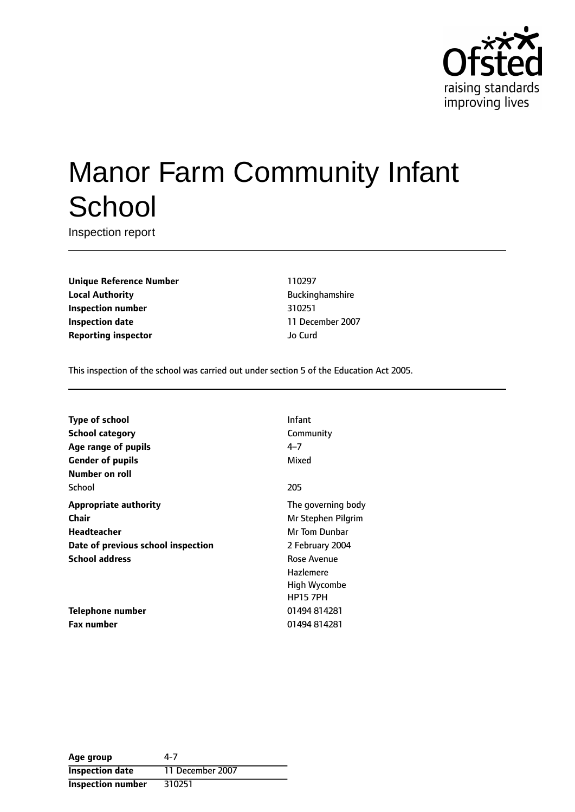

# Manor Farm Community Infant **School**

Inspection report

**Unique Reference Number** 110297 **Local Authority Buckinghamshire Inspection number** 310251 **Inspection date** 11 December 2007 **Reporting inspector and a structure of the United Structure of the United Structure of the United Structure of the United Structure of the United Structure of the United Structure of the United Structure of the United S** 

This inspection of the school was carried out under section 5 of the Education Act 2005.

| Type of school                     | Infant             |
|------------------------------------|--------------------|
| School category                    | Community          |
| Age range of pupils                | $4 - 7$            |
| <b>Gender of pupils</b>            | Mixed              |
| Number on roll                     |                    |
| School                             | 205                |
| <b>Appropriate authority</b>       | The governing body |
| Chair                              | Mr Stephen Pilgrim |
| <b>Headteacher</b>                 | Mr Tom Dunbar      |
| Date of previous school inspection | 2 February 2004    |
| <b>School address</b>              | Rose Avenue        |
|                                    | Hazlemere          |
|                                    | High Wycombe       |
|                                    | <b>HP15 7PH</b>    |
| Telephone number                   | 01494814281        |
| <b>Fax number</b>                  | 01494814281        |

| Age group                | 4-7              |
|--------------------------|------------------|
| <b>Inspection date</b>   | 11 December 2007 |
| <b>Inspection number</b> | 310251           |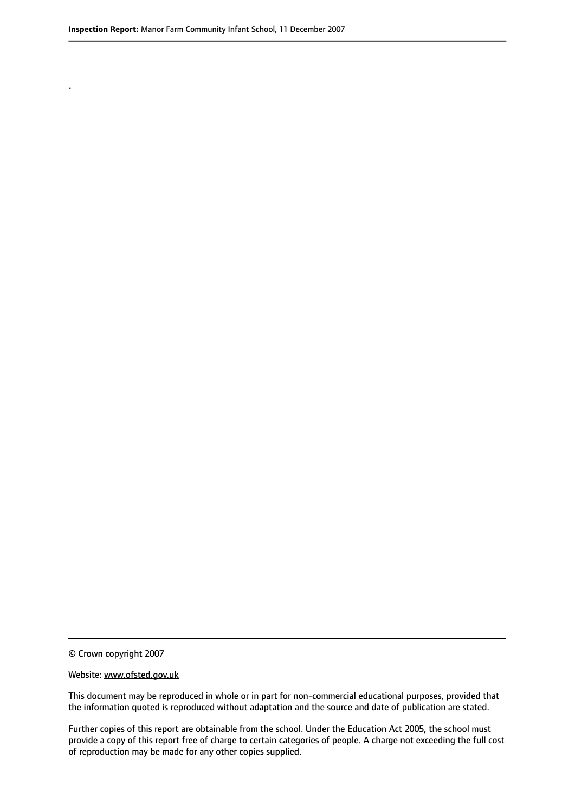.

© Crown copyright 2007

#### Website: www.ofsted.gov.uk

This document may be reproduced in whole or in part for non-commercial educational purposes, provided that the information quoted is reproduced without adaptation and the source and date of publication are stated.

Further copies of this report are obtainable from the school. Under the Education Act 2005, the school must provide a copy of this report free of charge to certain categories of people. A charge not exceeding the full cost of reproduction may be made for any other copies supplied.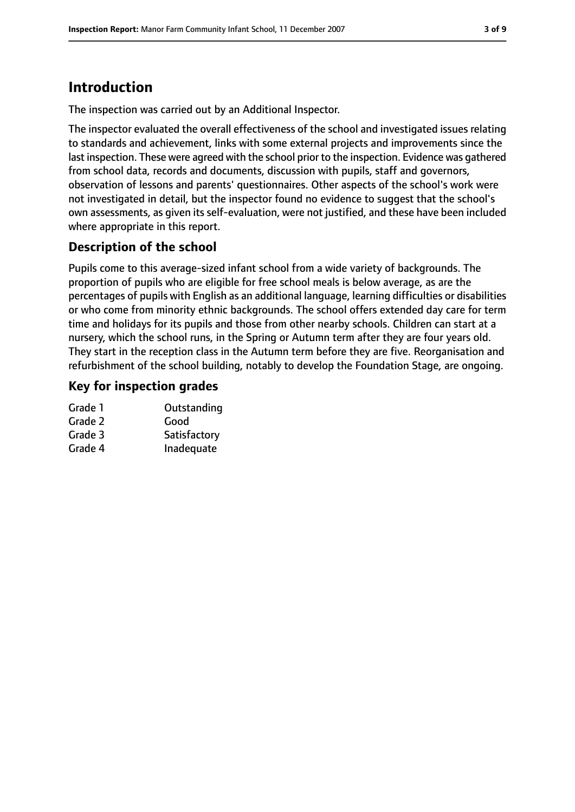# **Introduction**

The inspection was carried out by an Additional Inspector.

The inspector evaluated the overall effectiveness of the school and investigated issues relating to standards and achievement, links with some external projects and improvements since the last inspection. These were agreed with the school prior to the inspection. Evidence was gathered from school data, records and documents, discussion with pupils, staff and governors, observation of lessons and parents' questionnaires. Other aspects of the school's work were not investigated in detail, but the inspector found no evidence to suggest that the school's own assessments, as given its self-evaluation, were not justified, and these have been included where appropriate in this report.

## **Description of the school**

Pupils come to this average-sized infant school from a wide variety of backgrounds. The proportion of pupils who are eligible for free school meals is below average, as are the percentages of pupils with English as an additional language, learning difficulties or disabilities or who come from minority ethnic backgrounds. The school offers extended day care for term time and holidays for its pupils and those from other nearby schools. Children can start at a nursery, which the school runs, in the Spring or Autumn term after they are four years old. They start in the reception class in the Autumn term before they are five. Reorganisation and refurbishment of the school building, notably to develop the Foundation Stage, are ongoing.

## **Key for inspection grades**

| Outstanding  |
|--------------|
| Good         |
| Satisfactory |
| Inadequate   |
|              |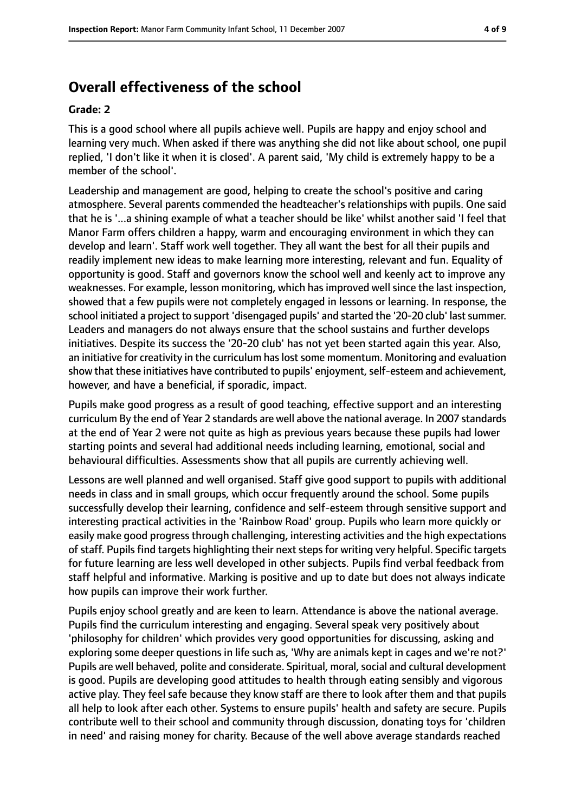## **Overall effectiveness of the school**

#### **Grade: 2**

This is a good school where all pupils achieve well. Pupils are happy and enjoy school and learning very much. When asked if there was anything she did not like about school, one pupil replied, 'I don't like it when it is closed'. A parent said, 'My child is extremely happy to be a member of the school'.

Leadership and management are good, helping to create the school's positive and caring atmosphere. Several parents commended the headteacher's relationships with pupils. One said that he is '...a shining example of what a teacher should be like' whilst another said 'I feel that Manor Farm offers children a happy, warm and encouraging environment in which they can develop and learn'. Staff work well together. They all want the best for all their pupils and readily implement new ideas to make learning more interesting, relevant and fun. Equality of opportunity is good. Staff and governors know the school well and keenly act to improve any weaknesses. For example, lesson monitoring, which has improved well since the last inspection, showed that a few pupils were not completely engaged in lessons or learning. In response, the school initiated a project to support 'disengaged pupils' and started the '20-20 club' last summer. Leaders and managers do not always ensure that the school sustains and further develops initiatives. Despite its success the '20-20 club' has not yet been started again this year. Also, an initiative for creativity in the curriculum has lost some momentum. Monitoring and evaluation show that these initiatives have contributed to pupils' enjoyment, self-esteem and achievement, however, and have a beneficial, if sporadic, impact.

Pupils make good progress as a result of good teaching, effective support and an interesting curriculum By the end of Year 2 standards are well above the national average. In 2007 standards at the end of Year 2 were not quite as high as previous years because these pupils had lower starting points and several had additional needs including learning, emotional, social and behavioural difficulties. Assessments show that all pupils are currently achieving well.

Lessons are well planned and well organised. Staff give good support to pupils with additional needs in class and in small groups, which occur frequently around the school. Some pupils successfully develop their learning, confidence and self-esteem through sensitive support and interesting practical activities in the 'Rainbow Road' group. Pupils who learn more quickly or easily make good progress through challenging, interesting activities and the high expectations of staff. Pupils find targets highlighting their next steps for writing very helpful. Specific targets for future learning are less well developed in other subjects. Pupils find verbal feedback from staff helpful and informative. Marking is positive and up to date but does not always indicate how pupils can improve their work further.

Pupils enjoy school greatly and are keen to learn. Attendance is above the national average. Pupils find the curriculum interesting and engaging. Several speak very positively about 'philosophy for children' which provides very good opportunities for discussing, asking and exploring some deeper questions in life such as, 'Why are animals kept in cages and we're not?' Pupils are well behaved, polite and considerate. Spiritual, moral, social and cultural development is good. Pupils are developing good attitudes to health through eating sensibly and vigorous active play. They feel safe because they know staff are there to look after them and that pupils all help to look after each other. Systems to ensure pupils' health and safety are secure. Pupils contribute well to their school and community through discussion, donating toys for 'children in need' and raising money for charity. Because of the well above average standards reached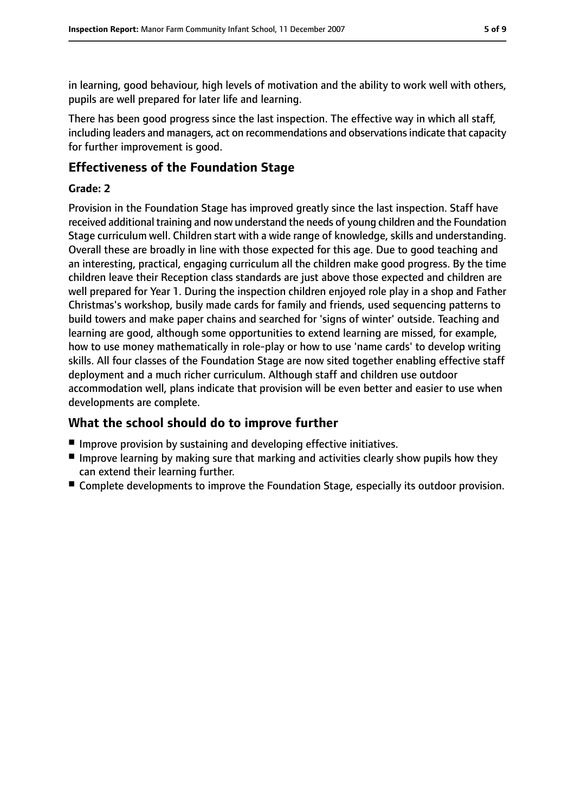in learning, good behaviour, high levels of motivation and the ability to work well with others, pupils are well prepared for later life and learning.

There has been good progress since the last inspection. The effective way in which all staff, including leaders and managers, act on recommendations and observations indicate that capacity for further improvement is good.

## **Effectiveness of the Foundation Stage**

## **Grade: 2**

Provision in the Foundation Stage has improved greatly since the last inspection. Staff have received additional training and now understand the needs of young children and the Foundation Stage curriculum well. Children start with a wide range of knowledge, skills and understanding. Overall these are broadly in line with those expected for this age. Due to good teaching and an interesting, practical, engaging curriculum all the children make good progress. By the time children leave their Reception class standards are just above those expected and children are well prepared for Year 1. During the inspection children enjoyed role play in a shop and Father Christmas's workshop, busily made cards for family and friends, used sequencing patterns to build towers and make paper chains and searched for 'signs of winter' outside. Teaching and learning are good, although some opportunities to extend learning are missed, for example, how to use money mathematically in role-play or how to use 'name cards' to develop writing skills. All four classes of the Foundation Stage are now sited together enabling effective staff deployment and a much richer curriculum. Although staff and children use outdoor accommodation well, plans indicate that provision will be even better and easier to use when developments are complete.

## **What the school should do to improve further**

- Improve provision by sustaining and developing effective initiatives.
- Improve learning by making sure that marking and activities clearly show pupils how they can extend their learning further.
- Complete developments to improve the Foundation Stage, especially its outdoor provision.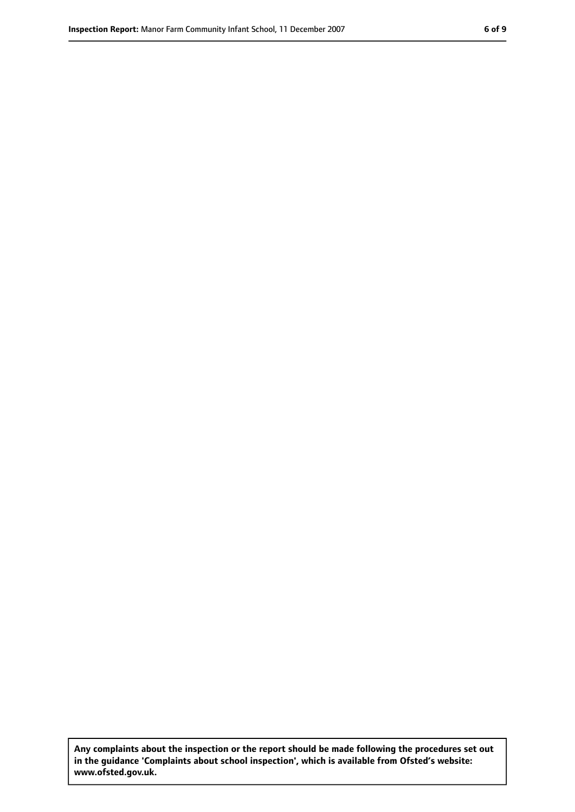**Any complaints about the inspection or the report should be made following the procedures set out in the guidance 'Complaints about school inspection', which is available from Ofsted's website: www.ofsted.gov.uk.**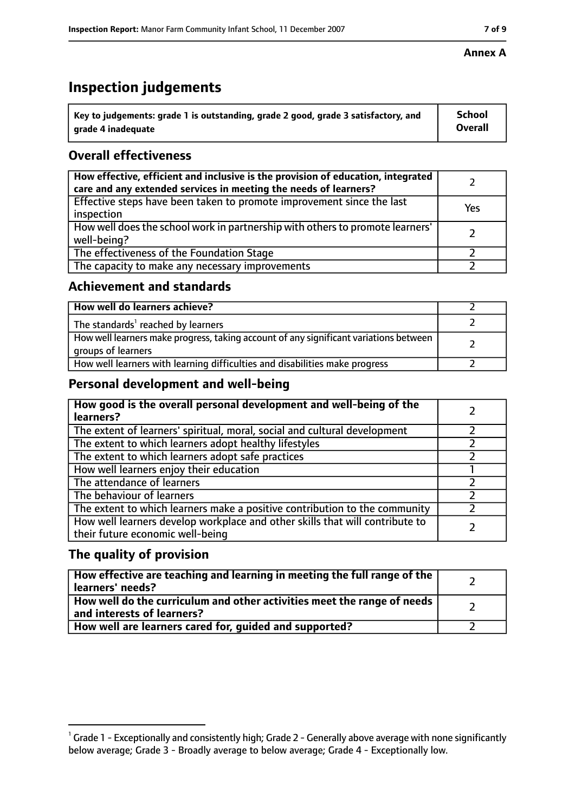# **Inspection judgements**

| $^{\backprime}$ Key to judgements: grade 1 is outstanding, grade 2 good, grade 3 satisfactory, and | <b>School</b>  |
|----------------------------------------------------------------------------------------------------|----------------|
| arade 4 inadeguate                                                                                 | <b>Overall</b> |

## **Overall effectiveness**

| How effective, efficient and inclusive is the provision of education, integrated<br>care and any extended services in meeting the needs of learners? |     |
|------------------------------------------------------------------------------------------------------------------------------------------------------|-----|
| Effective steps have been taken to promote improvement since the last<br>inspection                                                                  | Yes |
| How well does the school work in partnership with others to promote learners'<br>well-being?                                                         |     |
| The effectiveness of the Foundation Stage                                                                                                            |     |
| The capacity to make any necessary improvements                                                                                                      |     |

## **Achievement and standards**

| How well do learners achieve?                                                                               |  |
|-------------------------------------------------------------------------------------------------------------|--|
| The standards <sup>1</sup> reached by learners                                                              |  |
| How well learners make progress, taking account of any significant variations between<br>groups of learners |  |
| How well learners with learning difficulties and disabilities make progress                                 |  |

## **Personal development and well-being**

| How good is the overall personal development and well-being of the<br>learners?                                  |  |
|------------------------------------------------------------------------------------------------------------------|--|
| The extent of learners' spiritual, moral, social and cultural development                                        |  |
| The extent to which learners adopt healthy lifestyles                                                            |  |
| The extent to which learners adopt safe practices                                                                |  |
| How well learners enjoy their education                                                                          |  |
| The attendance of learners                                                                                       |  |
| The behaviour of learners                                                                                        |  |
| The extent to which learners make a positive contribution to the community                                       |  |
| How well learners develop workplace and other skills that will contribute to<br>their future economic well-being |  |

## **The quality of provision**

| How effective are teaching and learning in meeting the full range of the<br>learners' needs?          |  |
|-------------------------------------------------------------------------------------------------------|--|
| How well do the curriculum and other activities meet the range of needs<br>and interests of learners? |  |
| How well are learners cared for, guided and supported?                                                |  |

### **Annex A**

 $^1$  Grade 1 - Exceptionally and consistently high; Grade 2 - Generally above average with none significantly below average; Grade 3 - Broadly average to below average; Grade 4 - Exceptionally low.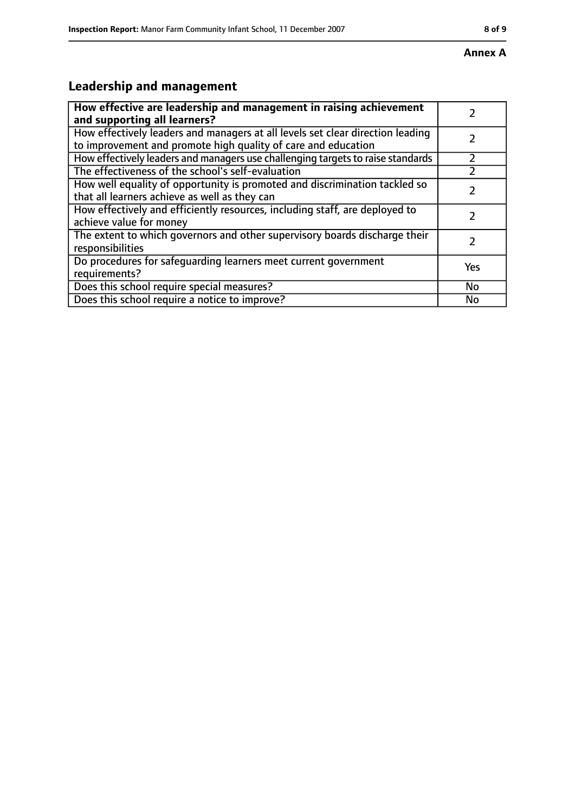# **Leadership and management**

| How effective are leadership and management in raising achievement<br>and supporting all learners?                                              |           |
|-------------------------------------------------------------------------------------------------------------------------------------------------|-----------|
| How effectively leaders and managers at all levels set clear direction leading<br>to improvement and promote high quality of care and education |           |
| How effectively leaders and managers use challenging targets to raise standards                                                                 |           |
| The effectiveness of the school's self-evaluation                                                                                               |           |
| How well equality of opportunity is promoted and discrimination tackled so<br>that all learners achieve as well as they can                     |           |
| How effectively and efficiently resources, including staff, are deployed to<br>achieve value for money                                          | 7         |
| The extent to which governors and other supervisory boards discharge their<br>responsibilities                                                  |           |
| Do procedures for safequarding learners meet current government<br>requirements?                                                                | Yes       |
| Does this school require special measures?                                                                                                      | <b>No</b> |
| Does this school require a notice to improve?                                                                                                   | No        |